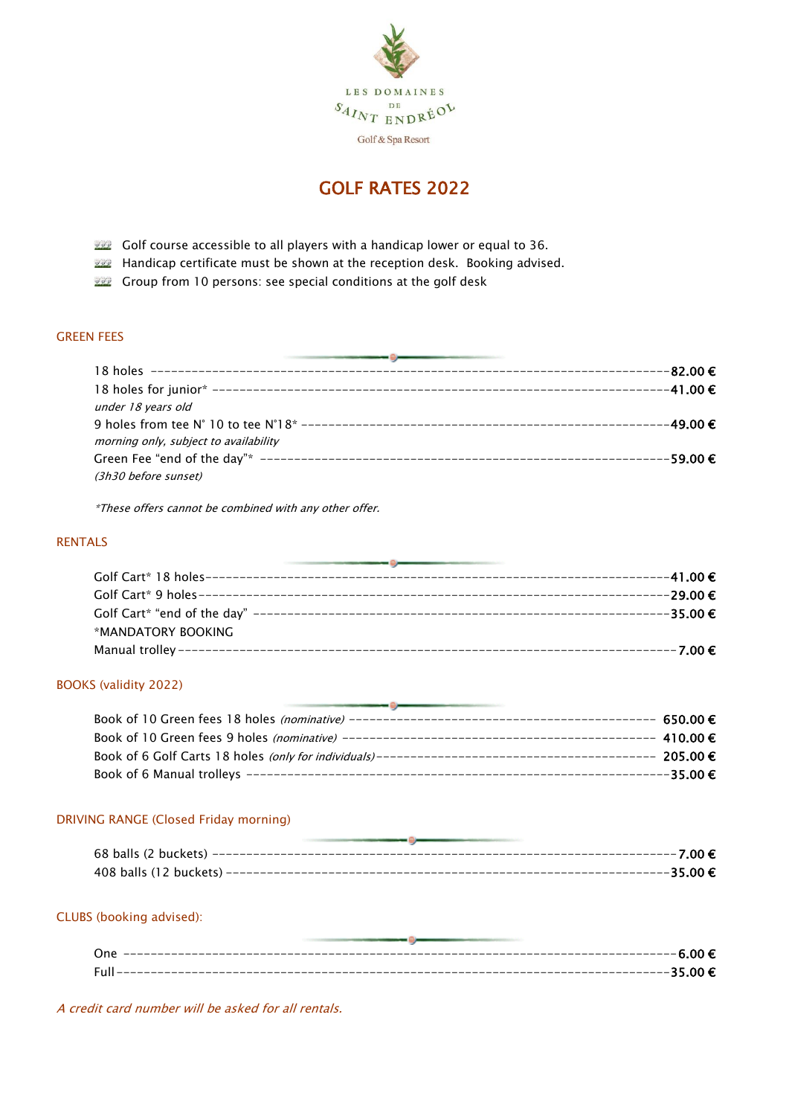

## GOLF RATES 2022

- **BEP** Golf course accessible to all players with a handicap lower or equal to 36.
- **Handicap certificate must be shown at the reception desk. Booking advised.**
- **BECO** Group from 10 persons: see special conditions at the golf desk

## GREEN FEES

| -82.00€                               |          |
|---------------------------------------|----------|
|                                       | -41.00€  |
| under 18 years old                    |          |
|                                       | -49.00 € |
| morning only, subject to availability |          |
|                                       | -59.00€  |
| (3h30 before sunset)                  |          |

\*These offers cannot be combined with any other offer.

## RENTALS

|                    | ----29.00 € |
|--------------------|-------------|
|                    | $-35.00€$   |
| *MANDATORY BOOKING |             |
|                    | $---7.00$ € |

#### BOOKS (validity 2022)

| 650.00€       |
|---------------|
| $-410.00 \in$ |
| 205.00 €      |
| −35.00 $∈$    |

## DRIVING RANGE (Closed Friday morning)

## CLUBS (booking advised):

| One  | -----6.00 €                          |
|------|--------------------------------------|
|      |                                      |
| E ol | ---35.00€<br>_______________________ |
|      |                                      |

A credit card number will be asked for all rentals.